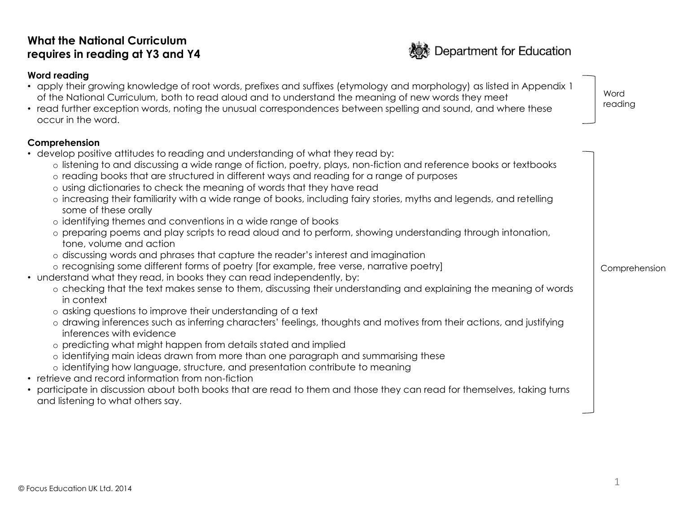## **What the National Curriculum requires in reading at Y3 and Y4**



### **Word reading**

- apply their growing knowledge of root words, prefixes and suffixes (etymology and morphology) as listed in Appendix 1 of the National Curriculum, both to read aloud and to understand the meaning of new words they meet
- read further exception words, noting the unusual correspondences between spelling and sound, and where these occur in the word.

### **Comprehension**

- develop positive attitudes to reading and understanding of what they read by:
	- o listening to and discussing a wide range of fiction, poetry, plays, non-fiction and reference books or textbooks
	- o reading books that are structured in different ways and reading for a range of purposes
	- o using dictionaries to check the meaning of words that they have read
	- o increasing their familiarity with a wide range of books, including fairy stories, myths and legends, and retelling some of these orally
	- o identifying themes and conventions in a wide range of books
	- o preparing poems and play scripts to read aloud and to perform, showing understanding through intonation, tone, volume and action
	- o discussing words and phrases that capture the reader's interest and imagination
	- o recognising some different forms of poetry [for example, free verse, narrative poetry]
- understand what they read, in books they can read independently, by:
	- o checking that the text makes sense to them, discussing their understanding and explaining the meaning of words in context
	- o asking questions to improve their understanding of a text
	- o drawing inferences such as inferring characters' feelings, thoughts and motives from their actions, and justifying inferences with evidence
	- o predicting what might happen from details stated and implied
	- o identifying main ideas drawn from more than one paragraph and summarising these
	- o identifying how language, structure, and presentation contribute to meaning
- retrieve and record information from non-fiction
- participate in discussion about both books that are read to them and those they can read for themselves, taking turns and listening to what others say.

**Word** reading

Comprehension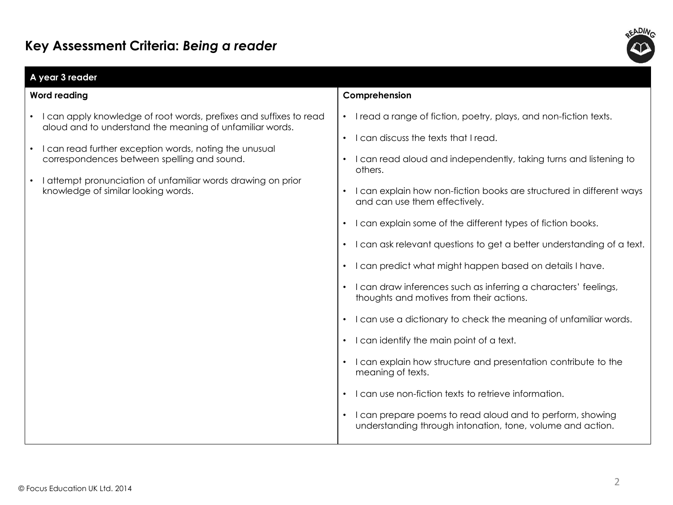# **Key Assessment Criteria:** *Being a reader*



| A year 3 reader                                                                                                                                                                                                                                                                                                                                             |                                                                                                                                                                                                                                                                                                                                                                                                                                                                                                                                                                                                                                                                                                                                                                                                                                                                                                               |  |
|-------------------------------------------------------------------------------------------------------------------------------------------------------------------------------------------------------------------------------------------------------------------------------------------------------------------------------------------------------------|---------------------------------------------------------------------------------------------------------------------------------------------------------------------------------------------------------------------------------------------------------------------------------------------------------------------------------------------------------------------------------------------------------------------------------------------------------------------------------------------------------------------------------------------------------------------------------------------------------------------------------------------------------------------------------------------------------------------------------------------------------------------------------------------------------------------------------------------------------------------------------------------------------------|--|
| <b>Word reading</b>                                                                                                                                                                                                                                                                                                                                         | Comprehension                                                                                                                                                                                                                                                                                                                                                                                                                                                                                                                                                                                                                                                                                                                                                                                                                                                                                                 |  |
| I can apply knowledge of root words, prefixes and suffixes to read<br>aloud and to understand the meaning of unfamiliar words.<br>I can read further exception words, noting the unusual<br>correspondences between spelling and sound.<br>I attempt pronunciation of unfamiliar words drawing on prior<br>$\bullet$<br>knowledge of similar looking words. | I read a range of fiction, poetry, plays, and non-fiction texts.<br>I can discuss the texts that I read.<br>$\bullet$<br>I can read aloud and independently, taking turns and listening to<br>others.<br>I can explain how non-fiction books are structured in different ways<br>and can use them effectively.<br>I can explain some of the different types of fiction books.<br>I can ask relevant questions to get a better understanding of a text.<br>I can predict what might happen based on details I have.<br>I can draw inferences such as inferring a characters' feelings,<br>thoughts and motives from their actions.<br>I can use a dictionary to check the meaning of unfamiliar words.<br>I can identify the main point of a text.<br>$\bullet$<br>I can explain how structure and presentation contribute to the<br>meaning of texts.<br>I can use non-fiction texts to retrieve information. |  |
|                                                                                                                                                                                                                                                                                                                                                             | I can prepare poems to read aloud and to perform, showing<br>understanding through intonation, tone, volume and action.                                                                                                                                                                                                                                                                                                                                                                                                                                                                                                                                                                                                                                                                                                                                                                                       |  |
|                                                                                                                                                                                                                                                                                                                                                             |                                                                                                                                                                                                                                                                                                                                                                                                                                                                                                                                                                                                                                                                                                                                                                                                                                                                                                               |  |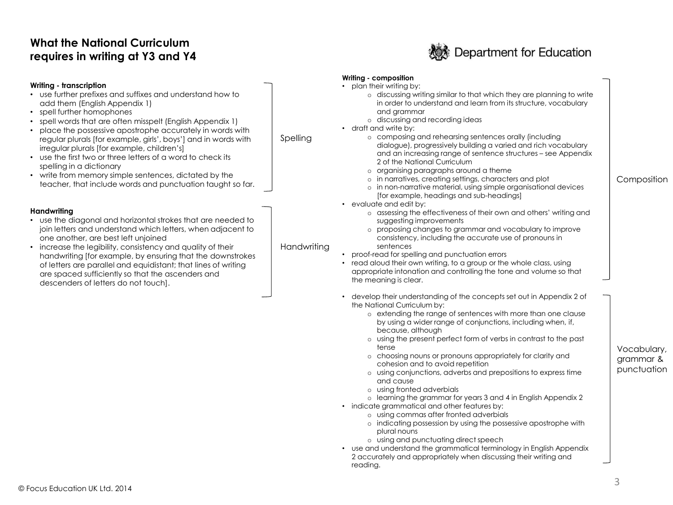## **What the National Curriculum requires in writing at Y3 and Y4**

#### **Writing - transcription**

- use further prefixes and suffixes and understand how to add them (English Appendix 1)
- spell further homophones
- spell words that are often misspelt (English Appendix 1)
- place the possessive apostrophe accurately in words with regular plurals [for example, girls', boys'] and in words with irregular plurals [for example, children's]
- use the first two or three letters of a word to check its spelling in a dictionary
- write from memory simple sentences, dictated by the teacher, that include words and punctuation taught so far.

#### **Handwriting**

- use the diagonal and horizontal strokes that are needed to join letters and understand which letters, when adjacent to one another, are best left unjoined
- increase the legibility, consistency and quality of their handwriting [for example, by ensuring that the downstrokes of letters are parallel and equidistant; that lines of writing are spaced sufficiently so that the ascenders and descenders of letters do not touch].

Spe

### Ha

# Department for Education

|           | Writing - composition                                                                                                                                                                                                                                                                                                                                                                                                                                                                                                                                                                                                                                                                                                                                                                                                                          |                      |
|-----------|------------------------------------------------------------------------------------------------------------------------------------------------------------------------------------------------------------------------------------------------------------------------------------------------------------------------------------------------------------------------------------------------------------------------------------------------------------------------------------------------------------------------------------------------------------------------------------------------------------------------------------------------------------------------------------------------------------------------------------------------------------------------------------------------------------------------------------------------|----------------------|
|           | plan their writing by:<br>o discussing writing similar to that which they are planning to write<br>in order to understand and learn from its structure, vocabulary<br>and grammar<br>o discussing and recording ideas                                                                                                                                                                                                                                                                                                                                                                                                                                                                                                                                                                                                                          |                      |
|           | • draft and write by:                                                                                                                                                                                                                                                                                                                                                                                                                                                                                                                                                                                                                                                                                                                                                                                                                          |                      |
| elling    | o composing and rehearsing sentences orally (including<br>dialogue), progressively building a varied and rich vocabulary<br>and an increasing range of sentence structures - see Appendix<br>2 of the National Curriculum<br>o organising paragraphs around a theme<br>o in narratives, creating settings, characters and plot<br>o in non-narrative material, using simple organisational devices<br>[for example, headings and sub-headings]                                                                                                                                                                                                                                                                                                                                                                                                 | Com                  |
|           | evaluate and edit by:                                                                                                                                                                                                                                                                                                                                                                                                                                                                                                                                                                                                                                                                                                                                                                                                                          |                      |
|           | o assessing the effectiveness of their own and others' writing and<br>suggesting improvements<br>o proposing changes to grammar and vocabulary to improve<br>consistency, including the accurate use of pronouns in                                                                                                                                                                                                                                                                                                                                                                                                                                                                                                                                                                                                                            |                      |
| ndwriting | sentences                                                                                                                                                                                                                                                                                                                                                                                                                                                                                                                                                                                                                                                                                                                                                                                                                                      |                      |
|           | proof-read for spelling and punctuation errors                                                                                                                                                                                                                                                                                                                                                                                                                                                                                                                                                                                                                                                                                                                                                                                                 |                      |
|           | read aloud their own writing, to a group or the whole class, using<br>appropriate intonation and controlling the tone and volume so that<br>the meaning is clear.                                                                                                                                                                                                                                                                                                                                                                                                                                                                                                                                                                                                                                                                              |                      |
|           | develop their understanding of the concepts set out in Appendix 2 of<br>the National Curriculum by:<br>o extending the range of sentences with more than one clause<br>by using a wider range of conjunctions, including when, if,<br>because, although<br>o using the present perfect form of verbs in contrast to the past<br>tense<br>o choosing nouns or pronouns appropriately for clarity and<br>cohesion and to avoid repetition<br>o using conjunctions, adverbs and prepositions to express time<br>and cause<br>o using fronted adverbials<br>o learning the grammar for years 3 and 4 in English Appendix 2<br>• indicate grammatical and other features by:<br>o using commas after fronted adverbials<br>o indicating possession by using the possessive apostrophe with<br>plural nouns<br>o using and punctuating direct speech | Voce<br>gran<br>pund |
|           | use and understand the grammatical terminology in English Appendix<br>2 accurately and appropriately when discussing their writing and<br>reading.                                                                                                                                                                                                                                                                                                                                                                                                                                                                                                                                                                                                                                                                                             |                      |

nposition

abulary, grammar & ctuation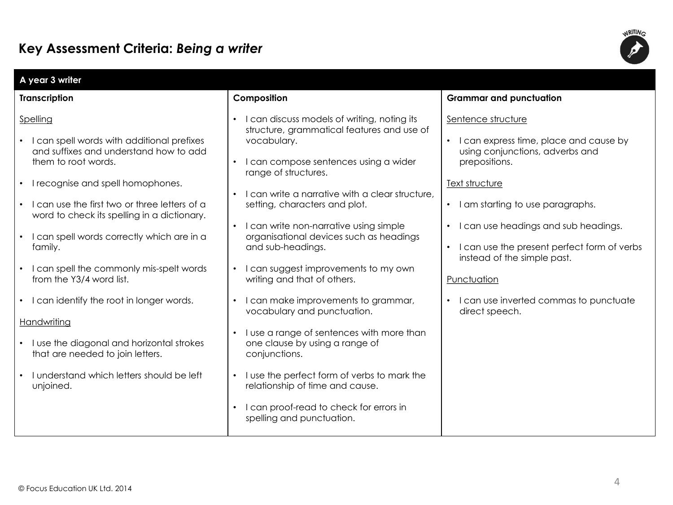# **Key Assessment Criteria:** *Being a writer*



| A year 3 writer                                                                                                                                                                                                                                                                                                                                                                                                                                                                                                                                                                                                  |                                                                                                                                                                                                                                                                                                                                                                                                                                                                                                                                                                                                                                                                                                                                                                                                                         |                                                                                                                                                                                                                                                                                                                                                                                   |  |  |  |
|------------------------------------------------------------------------------------------------------------------------------------------------------------------------------------------------------------------------------------------------------------------------------------------------------------------------------------------------------------------------------------------------------------------------------------------------------------------------------------------------------------------------------------------------------------------------------------------------------------------|-------------------------------------------------------------------------------------------------------------------------------------------------------------------------------------------------------------------------------------------------------------------------------------------------------------------------------------------------------------------------------------------------------------------------------------------------------------------------------------------------------------------------------------------------------------------------------------------------------------------------------------------------------------------------------------------------------------------------------------------------------------------------------------------------------------------------|-----------------------------------------------------------------------------------------------------------------------------------------------------------------------------------------------------------------------------------------------------------------------------------------------------------------------------------------------------------------------------------|--|--|--|
| <b>Transcription</b>                                                                                                                                                                                                                                                                                                                                                                                                                                                                                                                                                                                             | Composition                                                                                                                                                                                                                                                                                                                                                                                                                                                                                                                                                                                                                                                                                                                                                                                                             | <b>Grammar and punctuation</b>                                                                                                                                                                                                                                                                                                                                                    |  |  |  |
| Spelling<br>I can spell words with additional prefixes<br>and suffixes and understand how to add<br>them to root words.<br>I recognise and spell homophones.<br>I can use the first two or three letters of a<br>word to check its spelling in a dictionary.<br>I can spell words correctly which are in a<br>family.<br>I can spell the commonly mis-spelt words<br>$\bullet$<br>from the Y3/4 word list.<br>I can identify the root in longer words.<br>Handwriting<br>I use the diagonal and horizontal strokes<br>that are needed to join letters.<br>I understand which letters should be left<br>unjoined. | • I can discuss models of writing, noting its<br>structure, grammatical features and use of<br>vocabulary.<br>I can compose sentences using a wider<br>range of structures.<br>I can write a narrative with a clear structure,<br>setting, characters and plot.<br>I can write non-narrative using simple<br>$\bullet$<br>organisational devices such as headings<br>and sub-headings.<br>I can suggest improvements to my own<br>writing and that of others.<br>I can make improvements to grammar,<br>$\bullet$<br>vocabulary and punctuation.<br>I use a range of sentences with more than<br>one clause by using a range of<br>conjunctions.<br>I use the perfect form of verbs to mark the<br>$\bullet$<br>relationship of time and cause.<br>I can proof-read to check for errors in<br>spelling and punctuation. | Sentence structure<br>• I can express time, place and cause by<br>using conjunctions, adverbs and<br>prepositions.<br>Text structure<br>• I am starting to use paragraphs.<br>• I can use headings and sub headings.<br>• I can use the present perfect form of verbs<br>instead of the simple past.<br>Punctuation<br>• I can use inverted commas to punctuate<br>direct speech. |  |  |  |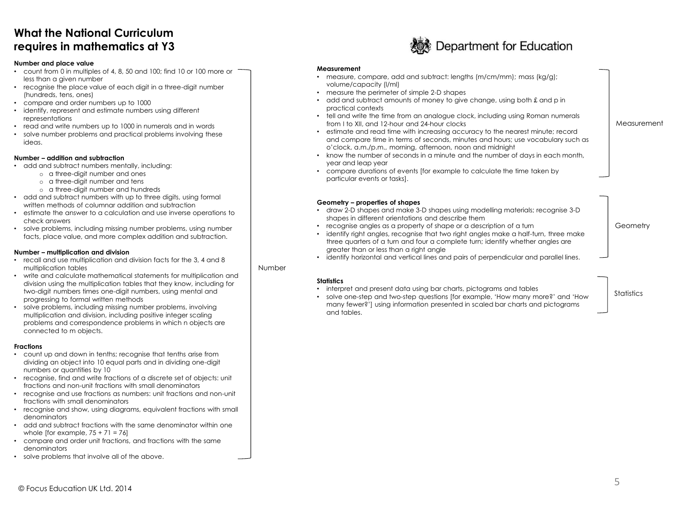### **What the National Curriculum requires in mathematics at Y3**

#### **Number and place value**

- count from 0 in multiples of 4, 8, 50 and 100; find 10 or 100 more or less than a given number
- recognise the place value of each digit in a three-digit number (hundreds, tens, ones)
- compare and order numbers up to 1000
- identify, represent and estimate numbers using different representations
- read and write numbers up to 1000 in numerals and in words
- solve number problems and practical problems involving these ideas.

#### **Number – addition and subtraction**

- add and subtract numbers mentally, including:
	- o a three-digit number and ones
	- o a three-digit number and tens
	- o a three-digit number and hundreds
- add and subtract numbers with up to three digits, using formal written methods of columnar addition and subtraction
- estimate the answer to a calculation and use inverse operations to check answers
- solve problems, including missing number problems, using number facts, place value, and more complex addition and subtraction.

#### **Number – multiplication and division**

- recall and use multiplication and division facts for the 3, 4 and 8 multiplication tables
- write and calculate mathematical statements for multiplication and division using the multiplication tables that they know, including for two-digit numbers times one-digit numbers, using mental and progressing to formal written methods
- solve problems, including missing number problems, involving multiplication and division, including positive integer scaling problems and correspondence problems in which n objects are connected to m objects.

#### **Fractions**

- count up and down in tenths; recognise that tenths arise from dividing an object into 10 equal parts and in dividing one-digit numbers or quantities by 10
- recognise, find and write fractions of a discrete set of objects: unit fractions and non-unit fractions with small denominators
- recognise and use fractions as numbers: unit fractions and non-unit fractions with small denominators
- recognise and show, using diagrams, equivalent fractions with small denominators
- add and subtract fractions with the same denominator within one whole [for example,  $75 + 71 = 76$ ]
- compare and order unit fractions, and fractions with the same denominators
- solve problems that involve all of the above.



#### **Measurement**

- measure, compare, add and subtract: lengths (m/cm/mm); mass (kg/g); volume/capacity (l/ml)
- measure the perimeter of simple 2-D shapes
- add and subtract amounts of money to give change, using both £ and p in practical contexts
- tell and write the time from an analogue clock, including using Roman numerals from I to XII, and 12-hour and 24-hour clocks
- estimate and read time with increasing accuracy to the nearest minute; record and compare time in terms of seconds, minutes and hours; use vocabulary such as o'clock, a.m./p.m., morning, afternoon, noon and midnight
- know the number of seconds in a minute and the number of days in each month, year and leap year
- compare durations of events [for example to calculate the time taken by particular events or tasks].

#### **Geometry – properties of shapes**

- draw 2-D shapes and make 3-D shapes using modelling materials; recognise 3-D shapes in different orientations and describe them
- recognise angles as a property of shape or a description of a turn
- identify right angles, recognise that two right angles make a half-turn, three make three quarters of a turn and four a complete turn; identify whether angles are greater than or less than a right angle
- identify horizontal and vertical lines and pairs of perpendicular and parallel lines.

#### Number

#### **Statistics**

- interpret and present data using bar charts, pictograms and tables
- solve one-step and two-step questions [for example, 'How many more?' and 'How many fewer?'] using information presented in scaled bar charts and pictograms and tables.

**Geometry** 

**Statistics** 

## **Measurement**